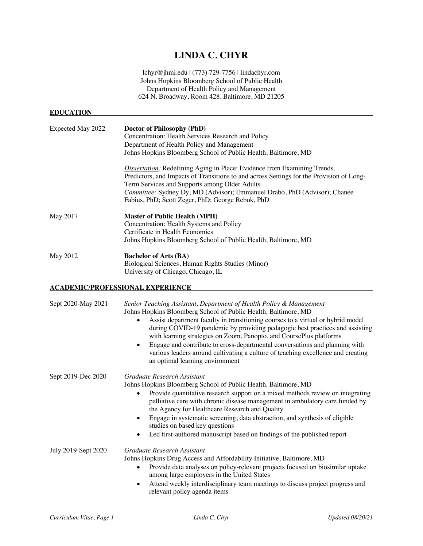# **LINDA C. CHYR**

lchyr@jhmi.edu | (773) 729-7756 | lindachyr.com Johns Hopkins Bloomberg School of Public Health Department of Health Policy and Management 624 N. Broadway, Room 428, Baltimore, MD 21205

## **EDUCATION**

| Expected May 2022 | Doctor of Philosophy (PhD)<br>Concentration: Health Services Research and Policy<br>Department of Health Policy and Management<br>Johns Hopkins Bloomberg School of Public Health, Baltimore, MD                                                                                                                                                                     |
|-------------------|----------------------------------------------------------------------------------------------------------------------------------------------------------------------------------------------------------------------------------------------------------------------------------------------------------------------------------------------------------------------|
|                   | <b>Dissertation:</b> Redefining Aging in Place: Evidence from Examining Trends,<br>Predictors, and Impacts of Transitions to and across Settings for the Provision of Long-<br>Term Services and Supports among Older Adults<br><i>Committee:</i> Sydney Dy, MD (Advisor); Emmanuel Drabo, PhD (Advisor); Chanee<br>Fabius, PhD; Scott Zeger, PhD; George Rebok, PhD |
| May 2017          | <b>Master of Public Health (MPH)</b><br>Concentration: Health Systems and Policy<br>Certificate in Health Economics<br>Johns Hopkins Bloomberg School of Public Health, Baltimore, MD                                                                                                                                                                                |
| May 2012          | <b>Bachelor of Arts (BA)</b><br>Biological Sciences, Human Rights Studies (Minor)<br>University of Chicago, Chicago, IL                                                                                                                                                                                                                                              |

## **ACADEMIC/PROFESSIONAL EXPERIENCE**

| Sept 2020-May 2021  | Senior Teaching Assistant, Department of Health Policy & Management<br>Johns Hopkins Bloomberg School of Public Health, Baltimore, MD<br>Assist department faculty in transitioning courses to a virtual or hybrid model<br>during COVID-19 pandemic by providing pedagogic best practices and assisting<br>with learning strategies on Zoom, Panopto, and CoursePlus platforms<br>Engage and contribute to cross-departmental conversations and planning with<br>٠<br>various leaders around cultivating a culture of teaching excellence and creating<br>an optimal learning environment |
|---------------------|--------------------------------------------------------------------------------------------------------------------------------------------------------------------------------------------------------------------------------------------------------------------------------------------------------------------------------------------------------------------------------------------------------------------------------------------------------------------------------------------------------------------------------------------------------------------------------------------|
| Sept 2019-Dec 2020  | Graduate Research Assistant<br>Johns Hopkins Bloomberg School of Public Health, Baltimore, MD<br>Provide quantitative research support on a mixed methods review on integrating<br>٠<br>palliative care with chronic disease management in ambulatory care funded by<br>the Agency for Healthcare Research and Quality<br>Engage in systematic screening, data abstraction, and synthesis of eligible<br>٠<br>studies on based key questions<br>Led first-authored manuscript based on findings of the published report                                                                    |
| July 2019-Sept 2020 | Graduate Research Assistant<br>Johns Hopkins Drug Access and Affordability Initiative, Baltimore, MD<br>Provide data analyses on policy-relevant projects focused on biosimilar uptake<br>$\bullet$<br>among large employers in the United States<br>Attend weekly interdisciplinary team meetings to discuss project progress and<br>٠<br>relevant policy agenda items                                                                                                                                                                                                                    |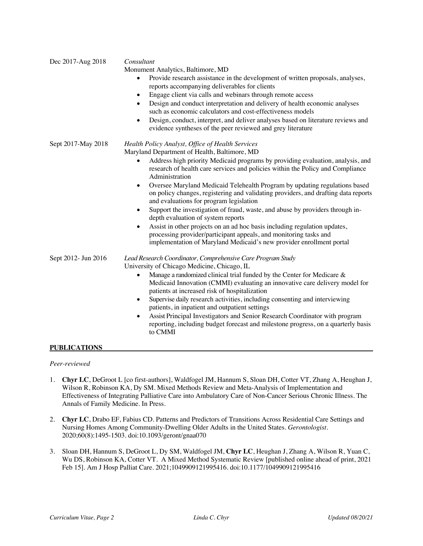| Dec 2017-Aug 2018   | Consultant<br>Monument Analytics, Baltimore, MD<br>Provide research assistance in the development of written proposals, analyses,<br>$\bullet$<br>reports accompanying deliverables for clients<br>Engage client via calls and webinars through remote access<br>$\bullet$<br>Design and conduct interpretation and delivery of health economic analyses<br>$\bullet$<br>such as economic calculators and cost-effectiveness models<br>Design, conduct, interpret, and deliver analyses based on literature reviews and<br>$\bullet$<br>evidence syntheses of the peer reviewed and grey literature                                                                                                                                                                                                                                                                                                        |
|---------------------|------------------------------------------------------------------------------------------------------------------------------------------------------------------------------------------------------------------------------------------------------------------------------------------------------------------------------------------------------------------------------------------------------------------------------------------------------------------------------------------------------------------------------------------------------------------------------------------------------------------------------------------------------------------------------------------------------------------------------------------------------------------------------------------------------------------------------------------------------------------------------------------------------------|
| Sept 2017-May 2018  | Health Policy Analyst, Office of Health Services<br>Maryland Department of Health, Baltimore, MD<br>Address high priority Medicaid programs by providing evaluation, analysis, and<br>$\bullet$<br>research of health care services and policies within the Policy and Compliance<br>Administration<br>Oversee Maryland Medicaid Telehealth Program by updating regulations based<br>$\bullet$<br>on policy changes, registering and validating providers, and drafting data reports<br>and evaluations for program legislation<br>Support the investigation of fraud, waste, and abuse by providers through in-<br>$\bullet$<br>depth evaluation of system reports<br>Assist in other projects on an ad hoc basis including regulation updates,<br>$\bullet$<br>processing provider/participant appeals, and monitoring tasks and<br>implementation of Maryland Medicaid's new provider enrollment portal |
| Sept 2012- Jun 2016 | Lead Research Coordinator, Comprehensive Care Program Study<br>University of Chicago Medicine, Chicago, IL<br>Manage a randomized clinical trial funded by the Center for Medicare &<br>$\bullet$<br>Medicaid Innovation (CMMI) evaluating an innovative care delivery model for<br>patients at increased risk of hospitalization<br>Supervise daily research activities, including consenting and interviewing<br>٠<br>patients, in inpatient and outpatient settings<br>Assist Principal Investigators and Senior Research Coordinator with program<br>$\bullet$<br>reporting, including budget forecast and milestone progress, on a quarterly basis<br>to CMMI                                                                                                                                                                                                                                         |

## **PUBLICATIONS**

#### *Peer-reviewed*

- 1. **Chyr LC**, DeGroot L [co first-authors], Waldfogel JM, Hannum S, Sloan DH, Cotter VT, Zhang A, Heughan J, Wilson R, Robinson KA, Dy SM. Mixed Methods Review and Meta-Analysis of Implementation and Effectiveness of Integrating Palliative Care into Ambulatory Care of Non-Cancer Serious Chronic Illness. The Annals of Family Medicine. In Press.
- 2. **Chyr LC**, Drabo EF, Fabius CD. Patterns and Predictors of Transitions Across Residential Care Settings and Nursing Homes Among Community-Dwelling Older Adults in the United States. *Gerontologist*. 2020;60(8):1495-1503. doi:10.1093/geront/gnaa070
- 3. Sloan DH, Hannum S, DeGroot L, Dy SM, Waldfogel JM, **Chyr LC**, Heughan J, Zhang A, Wilson R, Yuan C, Wu DS, Robinson KA, Cotter VT. A Mixed Method Systematic Review [published online ahead of print, 2021 Feb 15]. Am J Hosp Palliat Care. 2021;1049909121995416. doi:10.1177/1049909121995416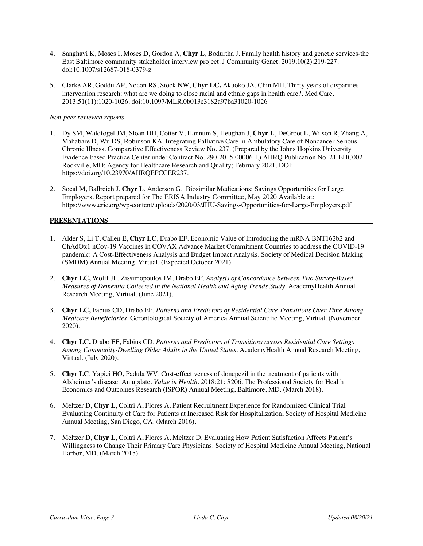- 4. Sanghavi K, Moses I, Moses D, Gordon A, **Chyr L**, Bodurtha J. Family health history and genetic services-the East Baltimore community stakeholder interview project. J Community Genet. 2019;10(2):219-227. doi:10.1007/s12687-018-0379-z
- 5. Clarke AR, Goddu AP, Nocon RS, Stock NW, **Chyr LC,** Akuoko JA, Chin MH. Thirty years of disparities intervention research: what are we doing to close racial and ethnic gaps in health care?. Med Care. 2013;51(11):1020-1026. doi:10.1097/MLR.0b013e3182a97ba31020-1026

## *Non-peer reviewed reports*

- 1. Dy SM, Waldfogel JM, Sloan DH, Cotter V, Hannum S, Heughan J, **Chyr L**, DeGroot L, Wilson R, Zhang A, Mahabare D, Wu DS, Robinson KA. Integrating Palliative Care in Ambulatory Care of Noncancer Serious Chronic Illness. Comparative Effectiveness Review No. 237. (Prepared by the Johns Hopkins University Evidence-based Practice Center under Contract No. 290-2015-00006-I.) AHRQ Publication No. 21-EHC002. Rockville, MD: Agency for Healthcare Research and Quality; February 2021. DOI: https://doi.org/10.23970/AHRQEPCCER237.
- 2. Socal M, Ballreich J, **Chyr L**, Anderson G. Biosimilar Medications: Savings Opportunities for Large Employers. Report prepared for The ERISA Industry Committee, May 2020 Available at: https://www.eric.org/wp-content/uploads/2020/03/JHU-Savings-Opportunities-for-Large-Employers.pdf

## **PRESENTATIONS**

- 1. Alder S, Li T, Callen E, **Chyr LC**, Drabo EF. Economic Value of Introducing the mRNA BNT162b2 and ChAdOx1 nCov-19 Vaccines in COVAX Advance Market Commitment Countries to address the COVID-19 pandemic: A Cost-Effectiveness Analysis and Budget Impact Analysis. Society of Medical Decision Making (SMDM) Annual Meeting, Virtual. (Expected October 2021).
- 2. **Chyr LC,** Wolff JL, Zissimopoulos JM, Drabo EF. *Analysis of Concordance between Two Survey-Based Measures of Dementia Collected in the National Health and Aging Trends Study*. AcademyHealth Annual Research Meeting, Virtual. (June 2021).
- 3. **Chyr LC,** Fabius CD, Drabo EF. *Patterns and Predictors of Residential Care Transitions Over Time Among Medicare Beneficiaries*. Gerontological Society of America Annual Scientific Meeting, Virtual. (November 2020).
- 4. **Chyr LC,** Drabo EF, Fabius CD. *Patterns and Predictors of Transitions across Residential Care Settings Among Community-Dwelling Older Adults in the United States*. AcademyHealth Annual Research Meeting, Virtual. (July 2020).
- 5. **Chyr LC**, Yapici HO, Padula WV. Cost-effectiveness of donepezil in the treatment of patients with Alzheimer's disease: An update. *Value in Health*. 2018;21: S206. The Professional Society for Health Economics and Outcomes Research (ISPOR) Annual Meeting, Baltimore, MD. (March 2018).
- 6. Meltzer D, **Chyr L**, Coltri A, Flores A. Patient Recruitment Experience for Randomized Clinical Trial Evaluating Continuity of Care for Patients at Increased Risk for Hospitalization**.** Society of Hospital Medicine Annual Meeting, San Diego, CA. (March 2016).
- 7. Meltzer D, **Chyr L**, Coltri A, Flores A, Meltzer D. Evaluating How Patient Satisfaction Affects Patient's Willingness to Change Their Primary Care Physicians. Society of Hospital Medicine Annual Meeting, National Harbor, MD. (March 2015).